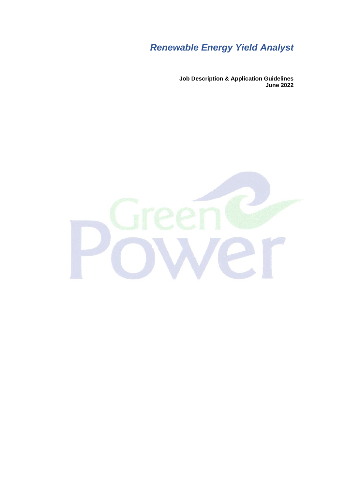# *Renewable Energy Yield Analyst*

**Job Description & Application Guidelines June 2022**

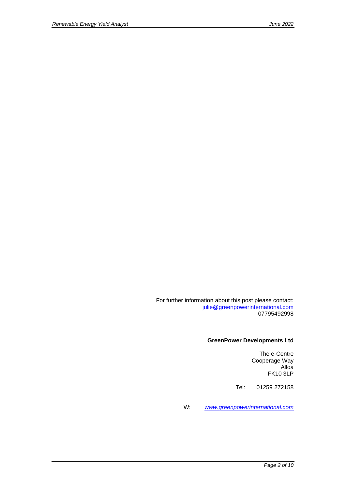For further information about this post please contact: [julie@greenpowerinternational.com](mailto:julie@greenpowerinternational.com) 07795492998

#### **GreenPower Developments Ltd**

The e-Centre Cooperage Way Alloa FK10 3LP

Tel: 01259 272158

W: *[www.greenpowerinternational.com](http://www.greenpowerinternational.com/)*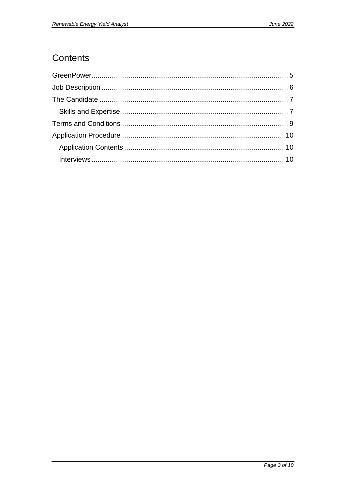## Contents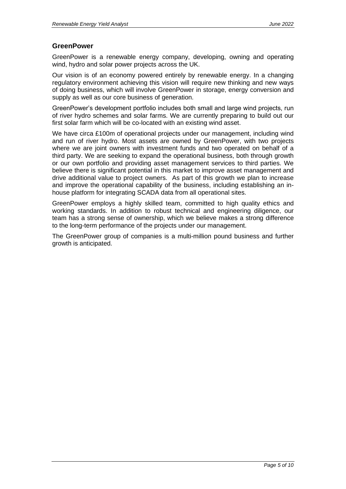### <span id="page-4-0"></span>**GreenPower**

GreenPower is a renewable energy company, developing, owning and operating wind, hydro and solar power projects across the UK.

Our vision is of an economy powered entirely by renewable energy. In a changing regulatory environment achieving this vision will require new thinking and new ways of doing business, which will involve GreenPower in storage, energy conversion and supply as well as our core business of generation.

GreenPower's development portfolio includes both small and large wind projects, run of river hydro schemes and solar farms. We are currently preparing to build out our first solar farm which will be co-located with an existing wind asset.

We have circa £100m of operational projects under our management, including wind and run of river hydro. Most assets are owned by GreenPower, with two projects where we are joint owners with investment funds and two operated on behalf of a third party. We are seeking to expand the operational business, both through growth or our own portfolio and providing asset management services to third parties. We believe there is significant potential in this market to improve asset management and drive additional value to project owners. As part of this growth we plan to increase and improve the operational capability of the business, including establishing an inhouse platform for integrating SCADA data from all operational sites.

GreenPower employs a highly skilled team, committed to high quality ethics and working standards. In addition to robust technical and engineering diligence, our team has a strong sense of ownership, which we believe makes a strong difference to the long-term performance of the projects under our management.

The GreenPower group of companies is a multi-million pound business and further growth is anticipated.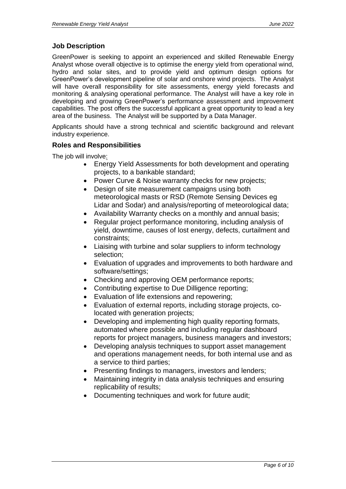## <span id="page-5-0"></span>**Job Description**

GreenPower is seeking to appoint an experienced and skilled Renewable Energy Analyst whose overall objective is to optimise the energy yield from operational wind, hydro and solar sites, and to provide yield and optimum design options for GreenPower's development pipeline of solar and onshore wind projects. The Analyst will have overall responsibility for site assessments, energy yield forecasts and monitoring & analysing operational performance. The Analyst will have a key role in developing and growing GreenPower's performance assessment and improvement capabilities. The post offers the successful applicant a great opportunity to lead a key area of the business. The Analyst will be supported by a Data Manager.

Applicants should have a strong technical and scientific background and relevant industry experience.

## **Roles and Responsibilities**

The job will involve:

- Energy Yield Assessments for both development and operating projects, to a bankable standard;
- Power Curve & Noise warranty checks for new projects;
- Design of site measurement campaigns using both meteorological masts or RSD (Remote Sensing Devices eg Lidar and Sodar) and analysis/reporting of meteorological data;
- Availability Warranty checks on a monthly and annual basis;
- Regular project performance monitoring, including analysis of yield, downtime, causes of lost energy, defects, curtailment and constraints;
- Liaising with turbine and solar suppliers to inform technology selection;
- Evaluation of upgrades and improvements to both hardware and software/settings;
- Checking and approving OEM performance reports;
- Contributing expertise to Due Dilligence reporting;
- Evaluation of life extensions and repowering;
- Evaluation of external reports, including storage projects, colocated with generation projects;
- Developing and implementing high quality reporting formats, automated where possible and including regular dashboard reports for project managers, business managers and investors;
- Developing analysis techniques to support asset management and operations management needs, for both internal use and as a service to third parties;
- Presenting findings to managers, investors and lenders;
- Maintaining integrity in data analysis techniques and ensuring replicability of results;
- Documenting techniques and work for future audit;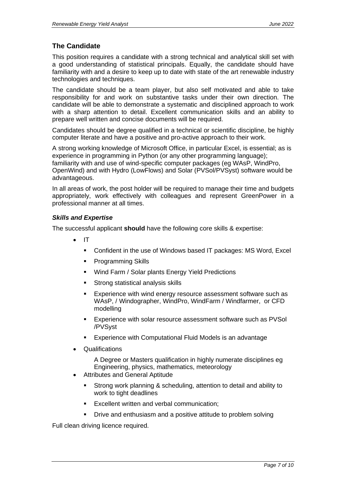## <span id="page-6-0"></span>**The Candidate**

This position requires a candidate with a strong technical and analytical skill set with a good understanding of statistical principals. Equally, the candidate should have familiarity with and a desire to keep up to date with state of the art renewable industry technologies and techniques.

The candidate should be a team player, but also self motivated and able to take responsibility for and work on substantive tasks under their own direction. The candidate will be able to demonstrate a systematic and disciplined approach to work with a sharp attention to detail. Excellent communication skills and an ability to prepare well written and concise documents will be required.

Candidates should be degree qualified in a technical or scientific discipline, be highly computer literate and have a positive and pro-active approach to their work.

A strong working knowledge of Microsoft Office, in particular Excel, is essential; as is experience in programming in Python (or any other programming language); familiarity with and use of wind-specific computer packages (eg WAsP, WindPro, OpenWind) and with Hydro (LowFlows) and Solar (PVSol/PVSyst) software would be advantageous.

In all areas of work, the post holder will be required to manage their time and budgets appropriately, work effectively with colleagues and represent GreenPower in a professional manner at all times.

#### <span id="page-6-1"></span>*Skills and Expertise*

The successful applicant **should** have the following core skills & expertise:

- IT
	- Confident in the use of Windows based IT packages: MS Word, Excel
	- Programming Skills
	- Wind Farm / Solar plants Energy Yield Predictions
	- **EXECT:** Strong statistical analysis skills
	- **Experience with wind energy resource assessment software such as** WAsP, / Windographer, WindPro, WindFarm / Windfarmer, or CFD modelling
	- Experience with solar resource assessment software such as PVSol /PVSyst
	- Experience with Computational Fluid Models is an advantage
- Qualifications

A Degree or Masters qualification in highly numerate disciplines eg Engineering, physics, mathematics, meteorology

- Attributes and General Aptitude
	- Strong work planning & scheduling, attention to detail and ability to work to tight deadlines
	- Excellent written and verbal communication:
	- Drive and enthusiasm and a positive attitude to problem solving

Full clean driving licence required.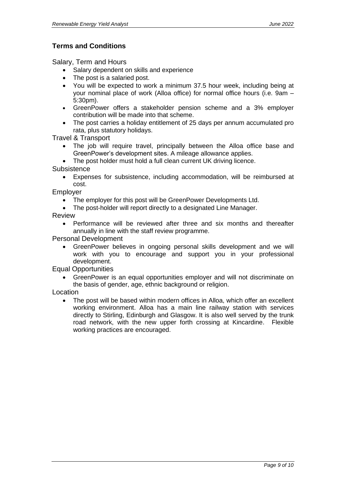## <span id="page-8-0"></span>**Terms and Conditions**

Salary, Term and Hours

- Salary dependent on skills and experience
- The post is a salaried post.
- You will be expected to work a minimum 37.5 hour week, including being at your nominal place of work (Alloa office) for normal office hours (i.e. 9am – 5:30pm).
- GreenPower offers a stakeholder pension scheme and a 3% employer contribution will be made into that scheme.
- The post carries a holiday entitlement of 25 days per annum accumulated pro rata, plus statutory holidays.

Travel & Transport

- The job will require travel, principally between the Alloa office base and GreenPower's development sites. A mileage allowance applies.
- The post holder must hold a full clean current UK driving licence.

**Subsistence** 

• Expenses for subsistence, including accommodation, will be reimbursed at cost.

Employer

- The employer for this post will be GreenPower Developments Ltd.
- The post-holder will report directly to a designated Line Manager.

Review

• Performance will be reviewed after three and six months and thereafter annually in line with the staff review programme.

Personal Development

• GreenPower believes in ongoing personal skills development and we will work with you to encourage and support you in your professional development.

Equal Opportunities

• GreenPower is an equal opportunities employer and will not discriminate on the basis of gender, age, ethnic background or religion.

Location

• The post will be based within modern offices in Alloa, which offer an excellent working environment. Alloa has a main line railway station with services directly to Stirling, Edinburgh and Glasgow. It is also well served by the trunk road network, with the new upper forth crossing at Kincardine. Flexible working practices are encouraged.